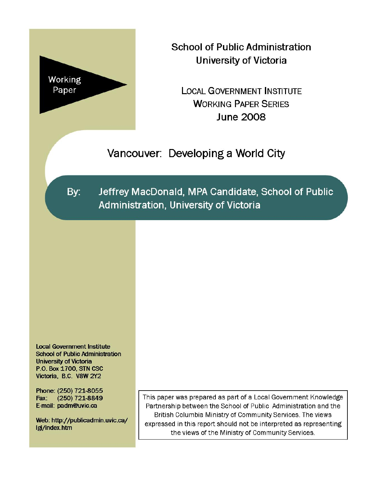

**School of Public Administration University of Victoria** 

**LOCAL GOVERNMENT INSTITUTE WORKING PAPER SERIES June 2008** 

Vancouver: Developing a World City

By:

Jeffrey MacDonald, MPA Candidate, School of Public Administration, University of Victoria

**Local Government Institute School of Public Administration University of Victoria** P.O. Box 1700, STN CSC Victoria, B.C. V8W 2Y2

Phone: (250) 721-8055 Fax: (250) 721-8849 E-mail: padm@uvic.ca

Web: http://publicadmin.uvic.ca/ Igi/index.htm

This paper was prepared as part of a Local Government Knowledge Partnership between the School of Public Administration and the British Columbia Ministry of Community Services. The views expressed in this report should not be interpreted as representing the views of the Ministry of Community Services.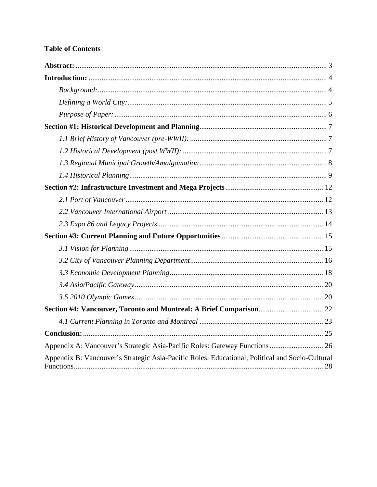## **Table of Contents**

| Appendix A: Vancouver's Strategic Asia-Pacific Roles: Gateway Functions 26                      |
|-------------------------------------------------------------------------------------------------|
| Appendix B: Vancouver's Strategic Asia-Pacific Roles: Educational, Political and Socio-Cultural |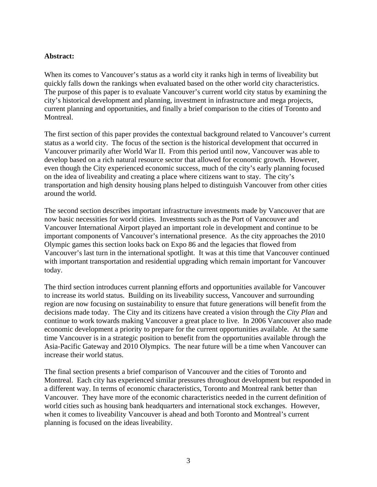#### <span id="page-2-0"></span>**Abstract:**

When its comes to Vancouver's status as a world city it ranks high in terms of liveability but quickly falls down the rankings when evaluated based on the other world city characteristics. The purpose of this paper is to evaluate Vancouver's current world city status by examining the city's historical development and planning, investment in infrastructure and mega projects, current planning and opportunities, and finally a brief comparison to the cities of Toronto and Montreal.

The first section of this paper provides the contextual background related to Vancouver's current status as a world city. The focus of the section is the historical development that occurred in Vancouver primarily after World War II. From this period until now, Vancouver was able to develop based on a rich natural resource sector that allowed for economic growth. However, even though the City experienced economic success, much of the city's early planning focused on the idea of liveability and creating a place where citizens want to stay. The city's transportation and high density housing plans helped to distinguish Vancouver from other cities around the world.

The second section describes important infrastructure investments made by Vancouver that are now basic necessities for world cities. Investments such as the Port of Vancouver and Vancouver International Airport played an important role in development and continue to be important components of Vancouver's international presence. As the city approaches the 2010 Olympic games this section looks back on Expo 86 and the legacies that flowed from Vancouver's last turn in the international spotlight. It was at this time that Vancouver continued with important transportation and residential upgrading which remain important for Vancouver today.

The third section introduces current planning efforts and opportunities available for Vancouver to increase its world status. Building on its liveability success, Vancouver and surrounding region are now focusing on sustainability to ensure that future generations will benefit from the decisions made today. The City and its citizens have created a vision through the *City Plan* and continue to work towards making Vancouver a great place to live. In 2006 Vancouver also made economic development a priority to prepare for the current opportunities available. At the same time Vancouver is in a strategic position to benefit from the opportunities available through the Asia-Pacific Gateway and 2010 Olympics. The near future will be a time when Vancouver can increase their world status.

The final section presents a brief comparison of Vancouver and the cities of Toronto and Montreal. Each city has experienced similar pressures throughout development but responded in a different way. In terms of economic characteristics, Toronto and Montreal rank better than Vancouver. They have more of the economic characteristics needed in the current definition of world cities such as housing bank headquarters and international stock exchanges. However, when it comes to liveability Vancouver is ahead and both Toronto and Montreal's current planning is focused on the ideas liveability.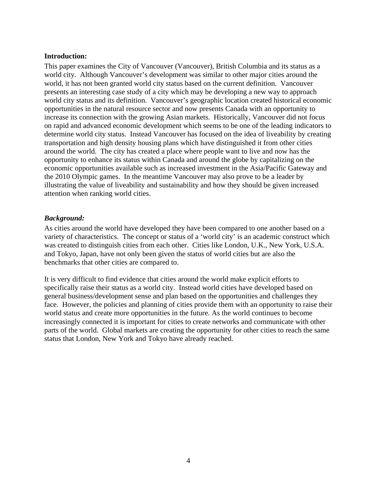#### <span id="page-3-0"></span>**Introduction:**

This paper examines the City of Vancouver (Vancouver), British Columbia and its status as a world city. Although Vancouver's development was similar to other major cities around the world, it has not been granted world city status based on the current definition. Vancouver presents an interesting case study of a city which may be developing a new way to approach world city status and its definition. Vancouver's geographic location created historical economic opportunities in the natural resource sector and now presents Canada with an opportunity to increase its connection with the growing Asian markets. Historically, Vancouver did not focus on rapid and advanced economic development which seems to be one of the leading indicators to determine world city status. Instead Vancouver has focused on the idea of liveability by creating transportation and high density housing plans which have distinguished it from other cities around the world. The city has created a place where people want to live and now has the opportunity to enhance its status within Canada and around the globe by capitalizing on the economic opportunities available such as increased investment in the Asia/Pacific Gateway and the 2010 Olympic games. In the meantime Vancouver may also prove to be a leader by illustrating the value of liveability and sustainability and how they should be given increased attention when ranking world cities.

#### *Background:*

As cities around the world have developed they have been compared to one another based on a variety of characteristics. The concept or status of a 'world city' is an academic construct which was created to distinguish cities from each other. Cities like London, U.K., New York, U.S.A. and Tokyo, Japan, have not only been given the status of world cities but are also the benchmarks that other cities are compared to.

It is very difficult to find evidence that cities around the world make explicit efforts to specifically raise their status as a world city. Instead world cities have developed based on general business/development sense and plan based on the opportunities and challenges they face. However, the policies and planning of cities provide them with an opportunity to raise their world status and create more opportunities in the future. As the world continues to become increasingly connected it is important for cities to create networks and communicate with other parts of the world. Global markets are creating the opportunity for other cities to reach the same status that London, New York and Tokyo have already reached.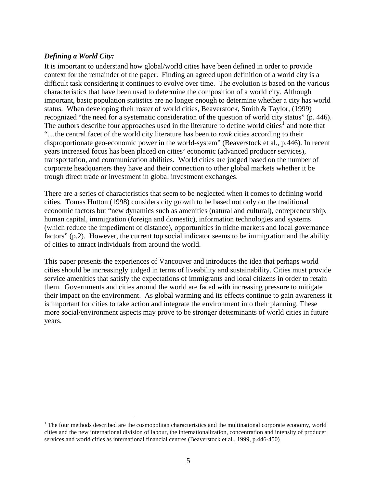### <span id="page-4-0"></span>*Defining a World City:*

1

It is important to understand how global/world cities have been defined in order to provide context for the remainder of the paper. Finding an agreed upon definition of a world city is a difficult task considering it continues to evolve over time. The evolution is based on the various characteristics that have been used to determine the composition of a world city. Although important, basic population statistics are no longer enough to determine whether a city has world status. When developing their roster of world cities, Beaverstock, Smith & Taylor, (1999) recognized "the need for a systematic consideration of the question of world city status" (p. 446). The authors describe four approaches used in the literature to define world cities<sup>[1](#page-4-0)</sup> and note that "…the central facet of the world city literature has been to *rank* cities according to their disproportionate geo-economic power in the world-system" (Beaverstock et al., p.446). In recent years increased focus has been placed on cities' economic (advanced producer services), transportation, and communication abilities. World cities are judged based on the number of corporate headquarters they have and their connection to other global markets whether it be trough direct trade or investment in global investment exchanges.

There are a series of characteristics that seem to be neglected when it comes to defining world cities. Tomas Hutton (1998) considers city growth to be based not only on the traditional economic factors but "new dynamics such as amenities (natural and cultural), entrepreneurship, human capital, immigration (foreign and domestic), information technologies and systems (which reduce the impediment of distance), opportunities in niche markets and local governance factors" (p.2). However, the current top social indicator seems to be immigration and the ability of cities to attract individuals from around the world.

This paper presents the experiences of Vancouver and introduces the idea that perhaps world cities should be increasingly judged in terms of liveability and sustainability. Cities must provide service amenities that satisfy the expectations of immigrants and local citizens in order to retain them. Governments and cities around the world are faced with increasing pressure to mitigate their impact on the environment. As global warming and its effects continue to gain awareness it is important for cities to take action and integrate the environment into their planning. These more social/environment aspects may prove to be stronger determinants of world cities in future years.

 $1$ <sup>1</sup> The four methods described are the cosmopolitan characteristics and the multinational corporate economy, world cities and the new international division of labour, the internationalization, concentration and intensity of producer services and world cities as international financial centres (Beaverstock et al., 1999, p.446-450)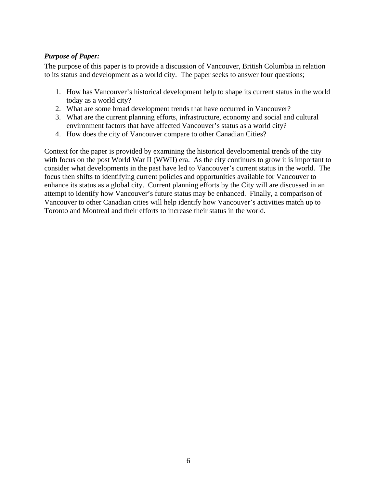## <span id="page-5-0"></span>*Purpose of Paper:*

The purpose of this paper is to provide a discussion of Vancouver, British Columbia in relation to its status and development as a world city. The paper seeks to answer four questions;

- 1. How has Vancouver's historical development help to shape its current status in the world today as a world city?
- 2. What are some broad development trends that have occurred in Vancouver?
- 3. What are the current planning efforts, infrastructure, economy and social and cultural environment factors that have affected Vancouver's status as a world city?
- 4. How does the city of Vancouver compare to other Canadian Cities?

Context for the paper is provided by examining the historical developmental trends of the city with focus on the post World War II (WWII) era. As the city continues to grow it is important to consider what developments in the past have led to Vancouver's current status in the world. The focus then shifts to identifying current policies and opportunities available for Vancouver to enhance its status as a global city. Current planning efforts by the City will are discussed in an attempt to identify how Vancouver's future status may be enhanced. Finally, a comparison of Vancouver to other Canadian cities will help identify how Vancouver's activities match up to Toronto and Montreal and their efforts to increase their status in the world.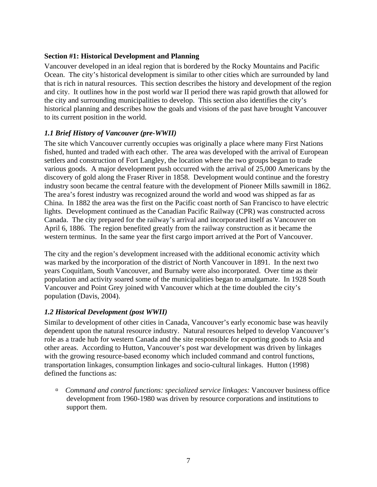#### <span id="page-6-0"></span>**Section #1: Historical Development and Planning**

Vancouver developed in an ideal region that is bordered by the Rocky Mountains and Pacific Ocean. The city's historical development is similar to other cities which are surrounded by land that is rich in natural resources. This section describes the history and development of the region and city. It outlines how in the post world war II period there was rapid growth that allowed for the city and surrounding municipalities to develop. This section also identifies the city's historical planning and describes how the goals and visions of the past have brought Vancouver to its current position in the world.

### *1.1 Brief History of Vancouver (pre-WWII)*

The site which Vancouver currently occupies was originally a place where many First Nations fished, hunted and traded with each other. The area was developed with the arrival of European settlers and construction of Fort Langley, the location where the two groups began to trade various goods. A major development push occurred with the arrival of 25,000 Americans by the discovery of gold along the Fraser River in 1858. Development would continue and the forestry industry soon became the central feature with the development of Pioneer Mills sawmill in 1862. The area's forest industry was recognized around the world and wood was shipped as far as China. In 1882 the area was the first on the Pacific coast north of San Francisco to have electric lights. Development continued as the Canadian Pacific Railway (CPR) was constructed across Canada. The city prepared for the railway's arrival and incorporated itself as Vancouver on April 6, 1886. The region benefited greatly from the railway construction as it became the western terminus. In the same year the first cargo import arrived at the Port of Vancouver.

The city and the region's development increased with the additional economic activity which was marked by the incorporation of the district of North Vancouver in 1891. In the next two years Coquitlam, South Vancouver, and Burnaby were also incorporated. Over time as their population and activity soared some of the municipalities began to amalgamate. In 1928 South Vancouver and Point Grey joined with Vancouver which at the time doubled the city's population (Davis, 2004).

### *1.2 Historical Development (post WWII)*

Similar to development of other cities in Canada, Vancouver's early economic base was heavily dependent upon the natural resource industry. Natural resources helped to develop Vancouver's role as a trade hub for western Canada and the site responsible for exporting goods to Asia and other areas. According to Hutton, Vancouver's post war development was driven by linkages with the growing resource-based economy which included command and control functions, transportation linkages, consumption linkages and socio-cultural linkages. Hutton (1998) defined the functions as:

à *Command and control functions: specialized service linkages:* Vancouver business office development from 1960-1980 was driven by resource corporations and institutions to support them.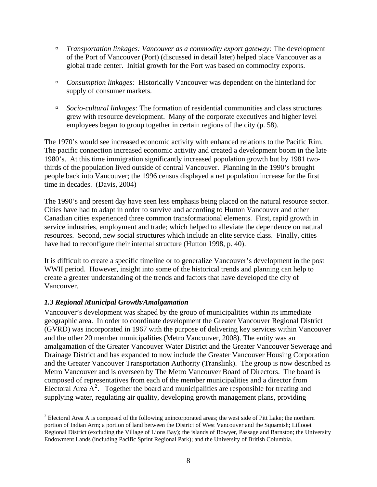- <span id="page-7-0"></span>à *Transportation linkages: Vancouver as a commodity export gateway:* The development of the Port of Vancouver (Port) (discussed in detail later) helped place Vancouver as a global trade center. Initial growth for the Port was based on commodity exports.
- à *Consumption linkages:* Historically Vancouver was dependent on the hinterland for supply of consumer markets.
- à *Socio-cultural linkages:* The formation of residential communities and class structures grew with resource development. Many of the corporate executives and higher level employees began to group together in certain regions of the city (p. 58).

The 1970's would see increased economic activity with enhanced relations to the Pacific Rim. The pacific connection increased economic activity and created a development boom in the late 1980's. At this time immigration significantly increased population growth but by 1981 twothirds of the population lived outside of central Vancouver. Planning in the 1990's brought people back into Vancouver; the 1996 census displayed a net population increase for the first time in decades. (Davis, 2004)

The 1990's and present day have seen less emphasis being placed on the natural resource sector. Cities have had to adapt in order to survive and according to Hutton Vancouver and other Canadian cities experienced three common transformational elements. First, rapid growth in service industries, employment and trade; which helped to alleviate the dependence on natural resources. Second, new social structures which include an elite service class. Finally, cities have had to reconfigure their internal structure (Hutton 1998, p. 40).

It is difficult to create a specific timeline or to generalize Vancouver's development in the post WWII period. However, insight into some of the historical trends and planning can help to create a greater understanding of the trends and factors that have developed the city of Vancouver.

## *1.3 Regional Municipal Growth/Amalgamation*

 $\overline{a}$ 

Vancouver's development was shaped by the group of municipalities within its immediate geographic area. In order to coordinate development the Greater Vancouver Regional District (GVRD) was incorporated in 1967 with the purpose of delivering key services within Vancouver and the other 20 member municipalities (Metro Vancouver, 2008). The entity was an amalgamation of the Greater Vancouver Water District and the Greater Vancouver Sewerage and Drainage District and has expanded to now include the Greater Vancouver Housing Corporation and the Greater Vancouver Transportation Authority (Translink). The group is now described as Metro Vancouver and is overseen by The Metro Vancouver Board of Directors. The board is composed of representatives from each of the member municipalities and a director from Electoral Area  $A^2$  $A^2$ . Together the board and municipalities are responsible for treating and supplying water, regulating air quality, developing growth management plans, providing

<sup>&</sup>lt;sup>2</sup> Electoral Area A is composed of the following unincorporated areas; the west side of Pitt Lake; the northern portion of Indian Arm; a portion of land between the District of West Vancouver and the Squamish; Lillooet Regional District (excluding the Village of Lions Bay); the islands of Bowyer, Passage and Barnston; the University Endowment Lands (including Pacific Sprint Regional Park); and the University of British Columbia.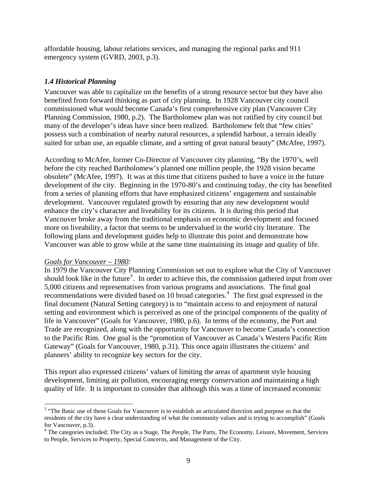<span id="page-8-0"></span>affordable housing, labour relations services, and managing the regional parks and 911 emergency system (GVRD, 2003, p.3).

## *1.4 Historical Planning*

Vancouver was able to capitalize on the benefits of a strong resource sector but they have also benefited from forward thinking as part of city planning. In 1928 Vancouver city council commissioned what would become Canada's first comprehensive city plan (Vancouver City Planning Commission, 1980, p.2). The Bartholomew plan was not ratified by city council but many of the developer's ideas have since been realized. Bartholomew felt that "few cities' possess such a combination of nearby natural resources, a splendid harbour, a terrain ideally suited for urban use, an equable climate, and a setting of great natural beauty" (McAfee, 1997).

According to McAfee, former Co-Director of Vancouver city planning, "By the 1970's, well before the city reached Bartholomew's planned one million people, the 1928 vision became obsolete" (McAfee, 1997). It was at this time that citizens pushed to have a voice in the future development of the city. Beginning in the 1970-80's and continuing today, the city has benefited from a series of planning efforts that have emphasized citizens' engagement and sustainable development. Vancouver regulated growth by ensuring that any new development would enhance the city's character and liveability for its citizens. It is during this period that Vancouver broke away from the traditional emphasis on economic development and focused more on liveability, a factor that seems to be undervalued in the world city literature. The following plans and development guides help to illustrate this point and demonstrate how Vancouver was able to grow while at the same time maintaining its image and quality of life.

### *Goals for Vancouver – 1980:*

 $\overline{a}$ 

In 1979 the Vancouver City Planning Commission set out to explore what the City of Vancouver should look like in the future<sup>[3](#page-8-0)</sup>. In order to achieve this, the commission gathered input from over 5,000 citizens and representatives from various programs and associations. The final goal recommendations were divided based on 10 broad categories.<sup>[4](#page-8-0)</sup> The first goal expressed in the final document (Natural Setting category) is to "maintain access to and enjoyment of natural setting and environment which is perceived as one of the principal components of the quality of life in Vancouver" (Goals for Vancouver, 1980, p.6). In terms of the economy, the Port and Trade are recognized, along with the opportunity for Vancouver to become Canada's connection to the Pacific Rim. One goal is the "promotion of Vancouver as Canada's Western Pacific Rim Gateway" (Goals for Vancouver, 1980, p.31). This once again illustrates the citizens' and planners' ability to recognize key sectors for the city.

This report also expressed citizens' values of limiting the areas of apartment style housing development, limiting air pollution, encouraging energy conservation and maintaining a high quality of life. It is important to consider that although this was a time of increased economic

<sup>&</sup>lt;sup>3</sup> "The Basic use of these Goals for Vancouver is to establish an articulated direction and purpose so that the residents of the city have a clear understanding of what the community values and is trying to accomplish" (Goals for Vancouver, p.3).

<sup>&</sup>lt;sup>4</sup> The categories included; The City as a Stage, The People, The Parts, The Economy, Leisure, Movement, Services to People, Services to Property, Special Concerns, and Management of the City.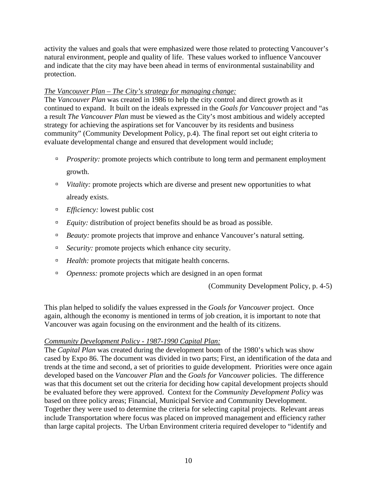activity the values and goals that were emphasized were those related to protecting Vancouver's natural environment, people and quality of life. These values worked to influence Vancouver and indicate that the city may have been ahead in terms of environmental sustainability and protection.

#### *The Vancouver Plan – The City's strategy for managing change:*

The *Vancouver Plan* was created in 1986 to help the city control and direct growth as it continued to expand. It built on the ideals expressed in the *Goals for Vancouver* project and "as a result *The Vancouver Plan* must be viewed as the City's most ambitious and widely accepted strategy for achieving the aspirations set for Vancouver by its residents and business community" (Community Development Policy, p.4). The final report set out eight criteria to evaluate developmental change and ensured that development would include;

- *Prosperity:* promote projects which contribute to long term and permanent employment growth.
- <sup>*n*</sup> *Vitality:* promote projects which are diverse and present new opportunities to what already exists.
- à *Efficiency:* lowest public cost
- <sup>*Equity:* distribution of project benefits should be as broad as possible.</sup>
- <sup>*Beauty:* promote projects that improve and enhance Vancouver's natural setting.</sup>
- <sup>If</sup> *Security:* promote projects which enhance city security.
- <sup>*B</sup> Health:* promote projects that mitigate health concerns.</sup>
- <sup>*o*</sup> *Openness:* promote projects which are designed in an open format

(Community Development Policy, p. 4-5)

This plan helped to solidify the values expressed in the *Goals for Vancouver* project. Once again, although the economy is mentioned in terms of job creation, it is important to note that Vancouver was again focusing on the environment and the health of its citizens.

### *Community Development Policy - 1987-1990 Capital Plan:*

The *Capital Plan* was created during the development boom of the 1980's which was show cased by Expo 86. The document was divided in two parts; First, an identification of the data and trends at the time and second, a set of priorities to guide development. Priorities were once again developed based on the *Vancouver Plan* and the *Goals for Vancouver* policies. The difference was that this document set out the criteria for deciding how capital development projects should be evaluated before they were approved. Context for the *Community Development Policy* was based on three policy areas; Financial, Municipal Service and Community Development. Together they were used to determine the criteria for selecting capital projects. Relevant areas include Transportation where focus was placed on improved management and efficiency rather than large capital projects. The Urban Environment criteria required developer to "identify and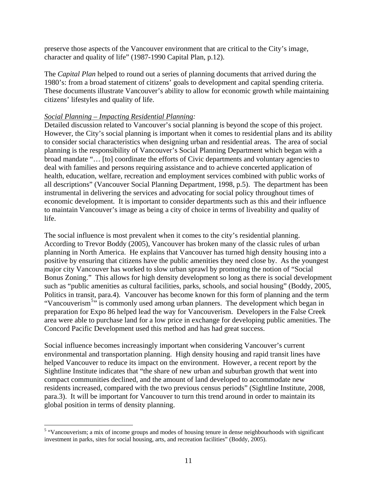<span id="page-10-0"></span>preserve those aspects of the Vancouver environment that are critical to the City's image, character and quality of life" (1987-1990 Capital Plan, p.12).

The *Capital Plan* helped to round out a series of planning documents that arrived during the 1980's: from a broad statement of citizens' goals to development and capital spending criteria. These documents illustrate Vancouver's ability to allow for economic growth while maintaining citizens' lifestyles and quality of life.

#### *Social Planning – Impacting Residential Planning:*

Detailed discussion related to Vancouver's social planning is beyond the scope of this project. However, the City's social planning is important when it comes to residential plans and its ability to consider social characteristics when designing urban and residential areas. The area of social planning is the responsibility of Vancouver's Social Planning Department which began with a broad mandate "… [to] coordinate the efforts of Civic departments and voluntary agencies to deal with families and persons requiring assistance and to achieve concerted application of health, education, welfare, recreation and employment services combined with public works of all descriptions" (Vancouver Social Planning Department, 1998, p.5). The department has been instrumental in delivering the services and advocating for social policy throughout times of economic development. It is important to consider departments such as this and their influence to maintain Vancouver's image as being a city of choice in terms of liveability and quality of life.

The social influence is most prevalent when it comes to the city's residential planning. According to Trevor Boddy (2005), Vancouver has broken many of the classic rules of urban planning in North America. He explains that Vancouver has turned high density housing into a positive by ensuring that citizens have the public amenities they need close by. As the youngest major city Vancouver has worked to slow urban sprawl by promoting the notion of "Social Bonus Zoning." This allows for high density development so long as there is social development such as "public amenities as cultural facilities, parks, schools, and social housing" (Boddy, 2005, Politics in transit, para.4). Vancouver has become known for this form of planning and the term "Vancouverism<sup>[5](#page-10-0)</sup>" is commonly used among urban planners. The development which began in preparation for Expo 86 helped lead the way for Vancouverism. Developers in the False Creek area were able to purchase land for a low price in exchange for developing public amenities. The Concord Pacific Development used this method and has had great success.

Social influence becomes increasingly important when considering Vancouver's current environmental and transportation planning. High density housing and rapid transit lines have helped Vancouver to reduce its impact on the environment. However, a recent report by the Sightline Institute indicates that "the share of new urban and suburban growth that went into compact communities declined, and the amount of land developed to accommodate new residents increased, compared with the two previous census periods" (Sightline Institute, 2008, para.3). It will be important for Vancouver to turn this trend around in order to maintain its global position in terms of density planning.

<sup>&</sup>lt;sup>5</sup> "Vancouverism; a mix of income groups and modes of housing tenure in dense neighbourhoods with significant investment in parks, sites for social housing, arts, and recreation facilities" (Boddy, 2005).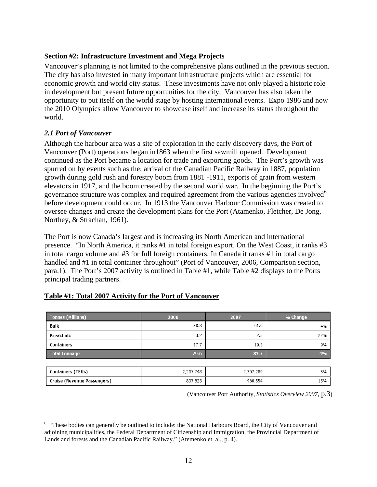#### <span id="page-11-0"></span>**Section #2: Infrastructure Investment and Mega Projects**

Vancouver's planning is not limited to the comprehensive plans outlined in the previous section. The city has also invested in many important infrastructure projects which are essential for economic growth and world city status. These investments have not only played a historic role in development but present future opportunities for the city. Vancouver has also taken the opportunity to put itself on the world stage by hosting international events. Expo 1986 and now the 2010 Olympics allow Vancouver to showcase itself and increase its status throughout the world.

### *2.1 Port of Vancouver*

 $\overline{a}$ 

Although the harbour area was a site of exploration in the early discovery days, the Port of Vancouver (Port) operations began in1863 when the first sawmill opened. Development continued as the Port became a location for trade and exporting goods. The Port's growth was spurred on by events such as the; arrival of the Canadian Pacific Railway in 1887, population growth during gold rush and forestry boom from 1881 -1911, exports of grain from western elevators in 1917, and the boom created by the second world war. In the beginning the Port's governance structure was complex and required agreement from the various agencies involved<sup>[6](#page-11-0)</sup> before development could occur. In 1913 the Vancouver Harbour Commission was created to oversee changes and create the development plans for the Port (Atamenko, Fletcher, De Jong, Northey, & Strachan, 1961).

The Port is now Canada's largest and is increasing its North American and international presence. "In North America, it ranks #1 in total foreign export. On the West Coast, it ranks #3 in total cargo volume and #3 for full foreign containers. In Canada it ranks #1 in total cargo handled and #1 in total container throughput" (Port of Vancouver, 2006, Comparison section, para.1). The Port's 2007 activity is outlined in Table #1, while Table #2 displays to the Ports principal trading partners.

| <b>Tonnes (Millions)</b>    | 2006      | 2007      | % Change |
|-----------------------------|-----------|-----------|----------|
| Bulk                        | 58.8      | 61.0      | 4%       |
| Breakbulk                   | 3.2       | 2.5       | $-22%$   |
| Containers                  | 17.7      | 19.2      | 9%       |
| <b>Total Tonnage</b>        | 79.6      | 82.7      | 4%       |
|                             |           |           |          |
| Containers (TEUs)           | 2,207,748 | 2,307,289 | 5%       |
| Cruise (Revenue Passengers) | 837,823   | 960,554   | 15%      |

### **Table #1: Total 2007 Activity for the Port of Vancouver**

(Vancouver Port Authority, *Statistics Overview 2007*, p.3)

<sup>&</sup>lt;sup>6</sup> "These bodies can generally be outlined to include: the National Harbours Board, the City of Vancouver and adjoining municipalities, the Federal Department of Citizenship and Immigration, the Provincial Department of Lands and forests and the Canadian Pacific Railway." (Atemenko et. al., p. 4).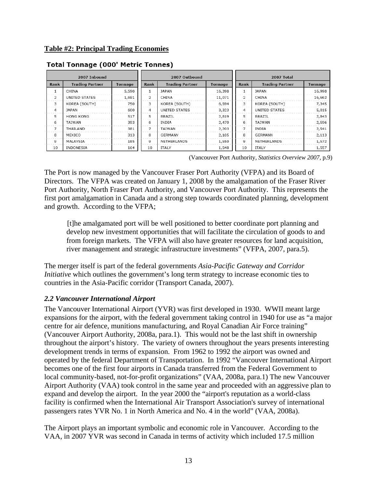|                | 2007 Inbound           |         | 2007 Outbound |                        |         | 2007 Total     |                        |         |
|----------------|------------------------|---------|---------------|------------------------|---------|----------------|------------------------|---------|
| Rank           | <b>Trading Partner</b> | Tonnage | Rank          | <b>Trading Partner</b> | Tonnage | Rank           | <b>Trading Partner</b> | Tonnage |
| $\mathbf{1}$   | CHINA                  | 5,590   |               | <b>JAPAN</b>           | 16,398  |                | <b>JAPAN</b>           | 16,998  |
| 2              | UNITED STATES          | 1,691   | 2             | CHINA                  | 11,071  | $\overline{c}$ | CHINA                  | 16,662  |
| 3              | KOREA (SOUTH)          | 750     | 3             | KOREA (SOUTH)          | 6,594   | 3              | KOREA (SOUTH)          | 7,345   |
| 4              | JAPAN                  | 600     | 4             | UNITED STATES          | 3,323   | 4              | UNITED STATES          | 5,015   |
| 5              | <b>HONG KONG</b>       | 517     | 5             | BRAZIL                 | 2,819   | 5              | BRAZIL                 | 2,843   |
| 6              | TAIWAN                 | 393     | 6             | INDIA                  | 2,470   | 6              | TAIWAN                 | 2,596   |
| $\overline{7}$ | THAILAND               | 381     | 7             | TAIWAN                 | 2,203   | 7              | <b>INDIA</b>           | 2,541   |
| 8              | MEXICO                 | 313     | 8             | GERMANY                | 2,105   | 8              | <b>GERMANY</b>         | 2,113   |
| 9              | MALAYSIA               | 185     | 9             | NETHERLANDS            | 1,550   | 9              | NETHERLANDS            | 1,572   |
| 10             | INDONESIA              | 164     | 10            | ITALY                  | 1,548   | 10             | <b>ITALY</b>           | 1,557   |

### <span id="page-12-0"></span>**Total Tonnage (000' Metric Tonnes)**

(Vancouver Port Authority, *Statistics Overview 2007*, p.9)

The Port is now managed by the Vancouver Fraser Port Authority (VFPA) and its Board of Directors. The VFPA was created on January 1, 2008 by the amalgamation of the Fraser River Port Authority, North Fraser Port Authority, and Vancouver Port Authority. This represents the first port amalgamation in Canada and a strong step towards coordinated planning, development and growth. According to the VFPA;

[t]he amalgamated port will be well positioned to better coordinate port planning and develop new investment opportunities that will facilitate the circulation of goods to and from foreign markets. The VFPA will also have greater resources for land acquisition, river management and strategic infrastructure investments" (VFPA, 2007, para.5).

The merger itself is part of the federal governments *Asia-Pacific Gateway and Corridor Initiative* which outlines the government's long term strategy to increase economic ties to countries in the Asia-Pacific corridor (Transport Canada, 2007).

### *2.2 Vancouver International Airport*

The Vancouver International Airport (YVR) was first developed in 1930. WWII meant large expansions for the airport, with the federal government taking control in 1940 for use as "a major centre for air defence, munitions manufacturing, and Royal Canadian Air Force training" (Vancouver Airport Authority, 2008a, para.1). This would not be the last shift in ownership throughout the airport's history. The variety of owners throughout the years presents interesting development trends in terms of expansion. From 1962 to 1992 the airport was owned and operated by the federal Department of Transportation. In 1992 "Vancouver International Airport becomes one of the first four airports in Canada transferred from the Federal Government to local community-based, not-for-profit organizations" (VAA, 2008a, para.1) The new Vancouver Airport Authority (VAA) took control in the same year and proceeded with an aggressive plan to expand and develop the airport. In the year 2000 the "airport's reputation as a world-class facility is confirmed when the International Air Transport Association's survey of international passengers rates YVR No. 1 in North America and No. 4 in the world" (VAA, 2008a).

The Airport plays an important symbolic and economic role in Vancouver. According to the VAA, in 2007 YVR was second in Canada in terms of activity which included 17.5 million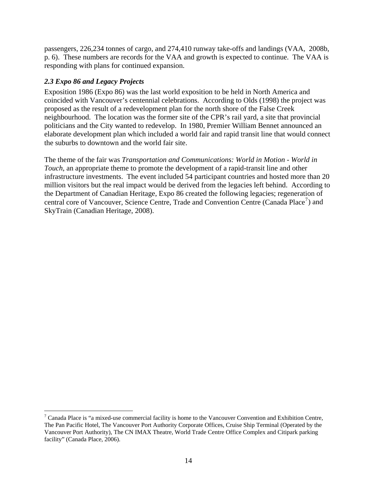<span id="page-13-0"></span>passengers, 226,234 tonnes of cargo, and 274,410 runway take-offs and landings (VAA, 2008b, p. 6). These numbers are records for the VAA and growth is expected to continue. The VAA is responding with plans for continued expansion.

## *2.3 Expo 86 and Legacy Projects*

Exposition 1986 (Expo 86) was the last world exposition to be held in North America and coincided with Vancouver's centennial celebrations. According to Olds (1998) the project was proposed as the result of a redevelopment plan for the north shore of the False Creek neighbourhood. The location was the former site of the CPR's rail yard, a site that provincial politicians and the City wanted to redevelop. In 1980, Premier William Bennet announced an elaborate development plan which included a world fair and rapid transit line that would connect the suburbs to downtown and the world fair site.

The theme of the fair was *Transportation and Communications: World in Motion - World in Touch*, an appropriate theme to promote the development of a rapid-transit line and other infrastructure investments. The event included 54 participant countries and hosted more than 20 million visitors but the real impact would be derived from the legacies left behind. According to the Department of Canadian Heritage, Expo 86 created the following legacies; regeneration of central core of Vancouver, Science Centre, Trade and Convention Centre (Canada Place<sup>[7](#page-13-0)</sup>) and SkyTrain (Canadian Heritage, 2008).

The Transacture is "a mixed-use commercial facility is home to the Vancouver Convention and Exhibition Centre,  $^7$  Canada Place is "a mixed-use commercial facility is home to the Vancouver Convention and Exhibition Centre The Pan Pacific Hotel, The Vancouver Port Authority Corporate Offices, Cruise Ship Terminal (Operated by the Vancouver Port Authority), The CN IMAX Theatre, World Trade Centre Office Complex and Citipark parking facility" (Canada Place, 2006).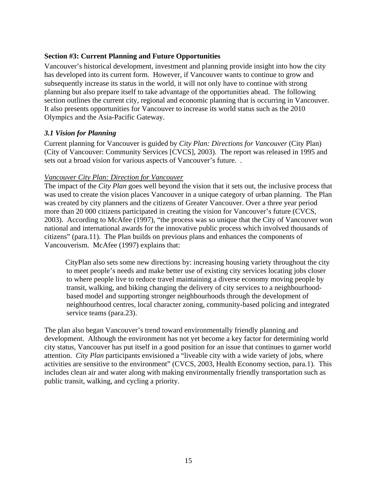#### <span id="page-14-0"></span>**Section #3: Current Planning and Future Opportunities**

Vancouver's historical development, investment and planning provide insight into how the city has developed into its current form. However, if Vancouver wants to continue to grow and subsequently increase its status in the world, it will not only have to continue with strong planning but also prepare itself to take advantage of the opportunities ahead. The following section outlines the current city, regional and economic planning that is occurring in Vancouver. It also presents opportunities for Vancouver to increase its world status such as the 2010 Olympics and the Asia-Pacific Gateway.

### *3.1 Vision for Planning*

Current planning for Vancouver is guided by *City Plan: Directions for Vancouver* (City Plan) (City of Vancouver: Community Services [CVCS], 2003). The report was released in 1995 and sets out a broad vision for various aspects of Vancouver's future. .

#### *Vancouver City Plan: Direction for Vancouver*

The impact of the *City Plan* goes well beyond the vision that it sets out, the inclusive process that was used to create the vision places Vancouver in a unique category of urban planning. The Plan was created by city planners and the citizens of Greater Vancouver. Over a three year period more than 20 000 citizens participated in creating the vision for Vancouver's future (CVCS, 2003). According to McAfee (1997), "the process was so unique that the City of Vancouver won national and international awards for the innovative public process which involved thousands of citizens" (para.11). The Plan builds on previous plans and enhances the components of Vancouverism. McAfee (1997) explains that:

CityPlan also sets some new directions by: increasing housing variety throughout the city to meet people's needs and make better use of existing city services locating jobs closer to where people live to reduce travel maintaining a diverse economy moving people by transit, walking, and biking changing the delivery of city services to a neighbourhoodbased model and supporting stronger neighbourhoods through the development of neighbourhood centres, local character zoning, community-based policing and integrated service teams (para.23).

The plan also began Vancouver's trend toward environmentally friendly planning and development. Although the environment has not yet become a key factor for determining world city status, Vancouver has put itself in a good position for an issue that continues to garner world attention. *City Plan* participants envisioned a "liveable city with a wide variety of jobs, where activities are sensitive to the environment" (CVCS, 2003, Health Economy section, para.1). This includes clean air and water along with making environmentally friendly transportation such as public transit, walking, and cycling a priority.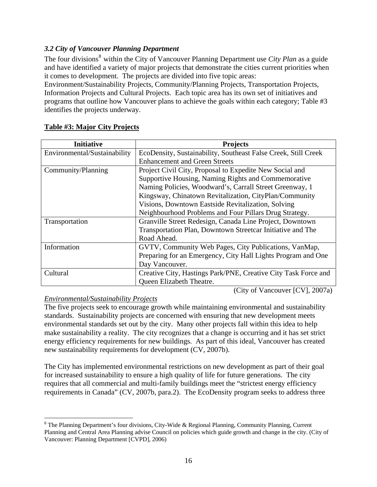## <span id="page-15-0"></span>*3.2 City of Vancouver Planning Department*

The four divisions<sup>[8](#page-15-0)</sup> within the City of Vancouver Planning Department use *City Plan* as a guide and have identified a variety of major projects that demonstrate the cities current priorities when it comes to development. The projects are divided into five topic areas:

Environment/Sustainability Projects, Community/Planning Projects, Transportation Projects, Information Projects and Cultural Projects. Each topic area has its own set of initiatives and programs that outline how Vancouver plans to achieve the goals within each category; Table #3 identifies the projects underway.

| <b>Initiative</b>            | <b>Projects</b>                                                |  |  |  |
|------------------------------|----------------------------------------------------------------|--|--|--|
| Environmental/Sustainability | EcoDensity, Sustainability, Southeast False Creek, Still Creek |  |  |  |
|                              | <b>Enhancement and Green Streets</b>                           |  |  |  |
| Community/Planning           | Project Civil City, Proposal to Expedite New Social and        |  |  |  |
|                              | Supportive Housing, Naming Rights and Commemorative            |  |  |  |
|                              | Naming Policies, Woodward's, Carrall Street Greenway, 1        |  |  |  |
|                              | Kingsway, Chinatown Revitalization, CityPlan/Community         |  |  |  |
|                              | Visions, Downtown Eastside Revitalization, Solving             |  |  |  |
|                              | Neighbourhood Problems and Four Pillars Drug Strategy.         |  |  |  |
| Transportation               | Granville Street Redesign, Canada Line Project, Downtown       |  |  |  |
|                              | Transportation Plan, Downtown Streetcar Initiative and The     |  |  |  |
|                              | Road Ahead.                                                    |  |  |  |
| Information                  | GVTV, Community Web Pages, City Publications, VanMap,          |  |  |  |
|                              | Preparing for an Emergency, City Hall Lights Program and One   |  |  |  |
|                              | Day Vancouver.                                                 |  |  |  |
| Cultural                     | Creative City, Hastings Park/PNE, Creative City Task Force and |  |  |  |
|                              | Queen Elizabeth Theatre.                                       |  |  |  |

### **Table #3: Major City Projects**

(City of Vancouver [CV], 2007a)

### *Environmental/Sustainability Projects*

1

The five projects seek to encourage growth while maintaining environmental and sustainability standards. Sustainability projects are concerned with ensuring that new development meets environmental standards set out by the city. Many other projects fall within this idea to help make sustainability a reality. The city recognizes that a change is occurring and it has set strict energy efficiency requirements for new buildings. As part of this ideal, Vancouver has created new sustainability requirements for development (CV, 2007b).

The City has implemented environmental restrictions on new development as part of their goal for increased sustainability to ensure a high quality of life for future generations. The city requires that all commercial and multi-family buildings meet the "strictest energy efficiency requirements in Canada" (CV, 2007b, para.2). The EcoDensity program seeks to address three

 $8$  The Planning Department's four divisions, City-Wide & Regional Planning, Community Planning, Current Planning and Central Area Planning advise Council on policies which guide growth and change in the city. (City of Vancouver: Planning Department [CVPD], 2006)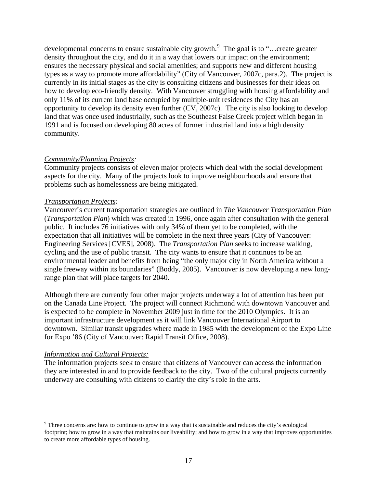<span id="page-16-0"></span>developmental concerns to ensure sustainable city growth.<sup>[9](#page-16-0)</sup> The goal is to "...create greater density throughout the city, and do it in a way that lowers our impact on the environment; ensures the necessary physical and social amenities; and supports new and different housing types as a way to promote more affordability" (City of Vancouver, 2007c, para.2). The project is currently in its initial stages as the city is consulting citizens and businesses for their ideas on how to develop eco-friendly density. With Vancouver struggling with housing affordability and only 11% of its current land base occupied by multiple-unit residences the City has an opportunity to develop its density even further (CV, 2007c). The city is also looking to develop land that was once used industrially, such as the Southeast False Creek project which began in 1991 and is focused on developing 80 acres of former industrial land into a high density community.

### *Community/Planning Projects:*

Community projects consists of eleven major projects which deal with the social development aspects for the city. Many of the projects look to improve neighbourhoods and ensure that problems such as homelessness are being mitigated.

#### *Transportation Projects:*

Vancouver's current transportation strategies are outlined in *The Vancouver Transportation Plan* (*Transportation Plan*) which was created in 1996, once again after consultation with the general public. It includes 76 initiatives with only 34% of them yet to be completed, with the expectation that all initiatives will be complete in the next three years (City of Vancouver: Engineering Services [CVES], 2008). The *Transportation Plan* seeks to increase walking, cycling and the use of public transit. The city wants to ensure that it continues to be an environmental leader and benefits from being "the only major city in North America without a single freeway within its boundaries" (Boddy, 2005). Vancouver is now developing a new longrange plan that will place targets for 2040.

Although there are currently four other major projects underway a lot of attention has been put on the Canada Line Project. The project will connect Richmond with downtown Vancouver and is expected to be complete in November 2009 just in time for the 2010 Olympics. It is an important infrastructure development as it will link Vancouver International Airport to downtown. Similar transit upgrades where made in 1985 with the development of the Expo Line for Expo '86 (City of Vancouver: Rapid Transit Office, 2008).

#### *Information and Cultural Projects:*

 $\overline{a}$ 

The information projects seek to ensure that citizens of Vancouver can access the information they are interested in and to provide feedback to the city. Two of the cultural projects currently underway are consulting with citizens to clarify the city's role in the arts.

<sup>&</sup>lt;sup>9</sup> Three concerns are: how to continue to grow in a way that is sustainable and reduces the city's ecological footprint; how to grow in a way that maintains our liveability; and how to grow in a way that improves opportunities to create more affordable types of housing.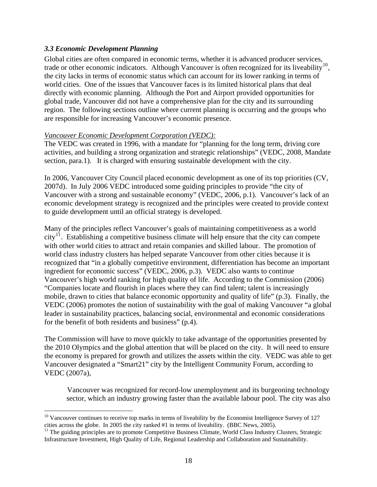### <span id="page-17-0"></span>*3.3 Economic Development Planning*

 $\overline{a}$ 

Global cities are often compared in economic terms, whether it is advanced producer services, trade or other economic indicators. Although Vancouver is often recognized for its liveability<sup>[10](#page-17-0)</sup>, the city lacks in terms of economic status which can account for its lower ranking in terms of world cities. One of the issues that Vancouver faces is its limited historical plans that deal directly with economic planning. Although the Port and Airport provided opportunities for global trade, Vancouver did not have a comprehensive plan for the city and its surrounding region. The following sections outline where current planning is occurring and the groups who are responsible for increasing Vancouver's economic presence.

#### *Vancouver Economic Development Corporation (VEDC):*

The VEDC was created in 1996, with a mandate for "planning for the long term, driving core activities, and building a strong organization and strategic relationships" (VEDC, 2008, Mandate section, para.1). It is charged with ensuring sustainable development with the city.

In 2006, Vancouver City Council placed economic development as one of its top priorities (CV, 2007d). In July 2006 VEDC introduced some guiding principles to provide "the city of Vancouver with a strong and sustainable economy" (VEDC, 2006, p.1). Vancouver's lack of an economic development strategy is recognized and the principles were created to provide context to guide development until an official strategy is developed.

Many of the principles reflect Vancouver's goals of maintaining competitiveness as a world  $\text{city}^{11}$  $\text{city}^{11}$  $\text{city}^{11}$ . Establishing a competitive business climate will help ensure that the city can compete with other world cities to attract and retain companies and skilled labour. The promotion of world class industry clusters has helped separate Vancouver from other cities because it is recognized that "in a globally competitive environment, differentiation has become an important ingredient for economic success" (VEDC, 2006, p.3). VEDC also wants to continue Vancouver's high world ranking for high quality of life. According to the Commission (2006) "Companies locate and flourish in places where they can find talent; talent is increasingly mobile, drawn to cities that balance economic opportunity and quality of life" (p.3). Finally, the VEDC (2006) promotes the notion of sustainability with the goal of making Vancouver "a global leader in sustainability practices, balancing social, environmental and economic considerations for the benefit of both residents and business" (p.4).

The Commission will have to move quickly to take advantage of the opportunities presented by the 2010 Olympics and the global attention that will be placed on the city. It will need to ensure the economy is prepared for growth and utilizes the assets within the city. VEDC was able to get Vancouver designated a "Smart21" city by the Intelligent Community Forum, according to VEDC (2007a),

Vancouver was recognized for record-low unemployment and its burgeoning technology sector, which an industry growing faster than the available labour pool. The city was also

<sup>&</sup>lt;sup>10</sup> Vancouver continues to receive top marks in terms of liveability by the Economist Intelligence Survey of 127 cities across the globe. In 2005 the city ranked #1 in terms of liveability. (BBC News, 2005).

<sup>&</sup>lt;sup>11</sup> The guiding principles are to promote Competitive Business Climate, World Class Industry Clusters, Strategic Infrastructure Investment, High Quality of Life, Regional Leadership and Collaboration and Sustainability.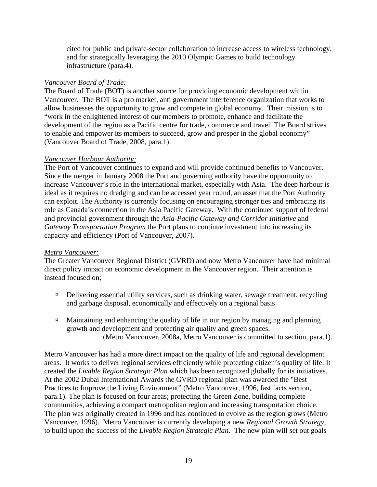cited for public and private-sector collaboration to increase access to wireless technology, and for strategically leveraging the 2010 Olympic Games to build technology infrastructure (para.4).

#### *Vancouver Board of Trade:*

The Board of Trade (BOT) is another source for providing economic development within Vancouver. The BOT is a pro market, anti government interference organization that works to allow businesses the opportunity to grow and compete in global economy. Their mission is to "work in the enlightened interest of our members to promote, enhance and facilitate the development of the region as a Pacific centre for trade, commerce and travel. The Board strives to enable and empower its members to succeed, grow and prosper in the global economy" (Vancouver Board of Trade, 2008, para.1).

#### *Vancouver Harbour Authority:*

The Port of Vancouver continues to expand and will provide continued benefits to Vancouver. Since the merger in January 2008 the Port and governing authority have the opportunity to increase Vancouver's role in the international market, especially with Asia. The deep harbour is ideal as it requires no dredging and can be accessed year round, an asset that the Port Authority can exploit. The Authority is currently focusing on encouraging stronger ties and embracing its role as Canada's connection in the Asia Pacific Gateway. With the continued support of federal and provincial government through the *Asia-Pacific Gateway and Corridor Initiative* and *Gateway Transportation Program* the Port plans to continue investment into increasing its capacity and efficiency (Port of Vancouver, 2007).

### *Metro Vancouver:*

The Greater Vancouver Regional District (GVRD) and now Metro Vancouver have had minimal direct policy impact on economic development in the Vancouver region. Their attention is instead focused on;

- $\Box$  Delivering essential utility services, such as drinking water, sewage treatment, recycling and garbage disposal, economically and effectively on a regional basis
- $\Box$  Maintaining and enhancing the quality of life in our region by managing and planning growth and development and protecting air quality and green spaces. (Metro Vancouver, 2008a, Metro Vancouver is committed to section, para.1).

Metro Vancouver has had a more direct impact on the quality of life and regional development areas. It works to deliver regional services efficiently while protecting citizen's quality of life. It created the *Livable Region Strategic Plan* which has been recognized globally for its initiatives. At the 2002 Dubai International Awards the GVRD regional plan was awarded the "Best Practices to Improve the Living Environment" (Metro Vancouver, 1996, fast facts section, para.1). The plan is focused on four areas; protecting the Green Zone, building complete communities, achieving a compact metropolitan region and increasing transportation choice. The plan was originally created in 1996 and has continued to evolve as the region grows (Metro Vancouver, 1996). Metro Vancouver is currently developing a new *Regional Growth Strategy*, to build upon the success of the *Livable Region Strategic Plan*. The new plan will set out goals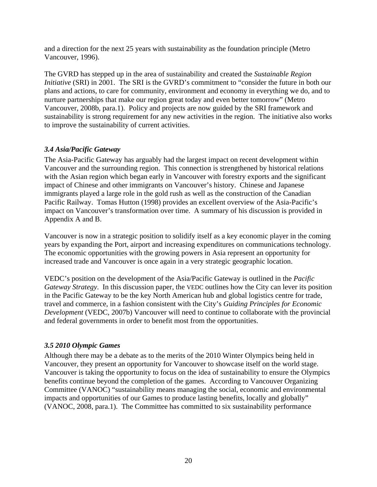<span id="page-19-0"></span>and a direction for the next 25 years with sustainability as the foundation principle (Metro Vancouver, 1996).

The GVRD has stepped up in the area of sustainability and created the *Sustainable Region Initiative* (SRI) in 2001. The SRI is the GVRD's commitment to "consider the future in both our plans and actions, to care for community, environment and economy in everything we do, and to nurture partnerships that make our region great today and even better tomorrow" (Metro Vancouver, 2008b, para.1). Policy and projects are now guided by the SRI framework and sustainability is strong requirement for any new activities in the region. The initiative also works to improve the sustainability of current activities.

## *3.4 Asia/Pacific Gateway*

The Asia-Pacific Gateway has arguably had the largest impact on recent development within Vancouver and the surrounding region. This connection is strengthened by historical relations with the Asian region which began early in Vancouver with forestry exports and the significant impact of Chinese and other immigrants on Vancouver's history. Chinese and Japanese immigrants played a large role in the gold rush as well as the construction of the Canadian Pacific Railway. Tomas Hutton (1998) provides an excellent overview of the Asia-Pacific's impact on Vancouver's transformation over time. A summary of his discussion is provided in Appendix A and B.

Vancouver is now in a strategic position to solidify itself as a key economic player in the coming years by expanding the Port, airport and increasing expenditures on communications technology. The economic opportunities with the growing powers in Asia represent an opportunity for increased trade and Vancouver is once again in a very strategic geographic location.

VEDC's position on the development of the Asia/Pacific Gateway is outlined in the *Pacific Gateway Strategy*. In this discussion paper, the VEDC outlines how the City can lever its position in the Pacific Gateway to be the key North American hub and global logistics centre for trade, travel and commerce, in a fashion consistent with the City's *Guiding Principles for Economic Development* (VEDC, 2007b) Vancouver will need to continue to collaborate with the provincial and federal governments in order to benefit most from the opportunities.

### *3.5 2010 Olympic Games*

Although there may be a debate as to the merits of the 2010 Winter Olympics being held in Vancouver, they present an opportunity for Vancouver to showcase itself on the world stage. Vancouver is taking the opportunity to focus on the idea of sustainability to ensure the Olympics benefits continue beyond the completion of the games. According to Vancouver Organizing Committee (VANOC) "sustainability means managing the social, economic and environmental impacts and opportunities of our Games to produce lasting benefits, locally and globally" (VANOC, 2008, para.1). The Committee has committed to six sustainability performance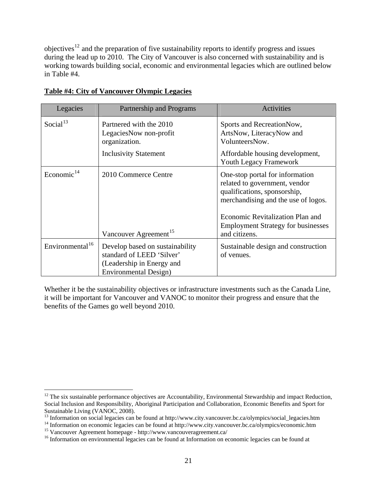<span id="page-20-0"></span>objectives<sup>[12](#page-20-0)</sup> and the preparation of five sustainability reports to identify progress and issues during the lead up to 2010. The City of Vancouver is also concerned with sustainability and is working towards building social, economic and environmental legacies which are outlined below in Table #4.

| Legacies                    | Partnership and Programs                                                                                                  | <b>Activities</b>                                                                                                                                                                                                                         |
|-----------------------------|---------------------------------------------------------------------------------------------------------------------------|-------------------------------------------------------------------------------------------------------------------------------------------------------------------------------------------------------------------------------------------|
| Social $13$                 | Partnered with the 2010<br>LegaciesNow non-profit<br>organization.<br><b>Inclusivity Statement</b>                        | Sports and RecreationNow,<br>ArtsNow, LiteracyNow and<br>VolunteersNow.<br>Affordable housing development,<br>Youth Legacy Framework                                                                                                      |
| Economic $^{14}$            | 2010 Commerce Centre<br>Vancouver Agreement <sup>15</sup>                                                                 | One-stop portal for information<br>related to government, vendor<br>qualifications, sponsorship,<br>merchandising and the use of logos.<br>Economic Revitalization Plan and<br><b>Employment Strategy for businesses</b><br>and citizens. |
| Environmental <sup>16</sup> | Develop based on sustainability<br>standard of LEED 'Silver'<br>(Leadership in Energy and<br><b>Environmental Design)</b> | Sustainable design and construction<br>of venues.                                                                                                                                                                                         |

## **Table #4: City of Vancouver Olympic Legacies**

Whether it be the sustainability objectives or infrastructure investments such as the Canada Line, it will be important for Vancouver and VANOC to monitor their progress and ensure that the benefits of the Games go well beyond 2010.

 $\overline{a}$ 

 $12$  The six sustainable performance objectives are Accountability, Environmental Stewardship and impact Reduction, Social Inclusion and Responsibility, Aboriginal Participation and Collaboration, Economic Benefits and Sport for Sustainable Living (VANOC, 2008).

<sup>&</sup>lt;sup>13</sup> Information on social legacies can be found at http://www.city.vancouver.bc.ca/olympics/social\_legacies.htm

<sup>&</sup>lt;sup>14</sup> Information on economic legacies can be found at http://www.city.vancouver.bc.ca/olympics/economic.htm <sup>15</sup> Vancouver Agreement homepage - http://www.vancouveragreement.ca/

<sup>&</sup>lt;sup>16</sup> Information on environmental legacies can be found at Information on economic legacies can be found at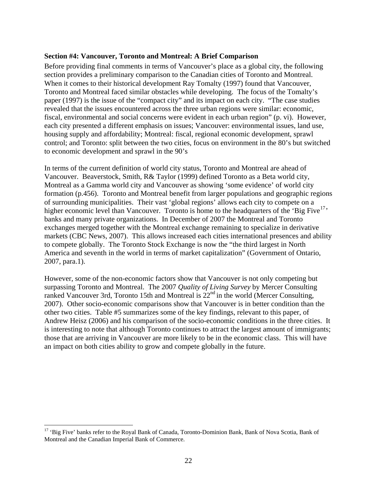#### <span id="page-21-0"></span>**Section #4: Vancouver, Toronto and Montreal: A Brief Comparison**

Before providing final comments in terms of Vancouver's place as a global city, the following section provides a preliminary comparison to the Canadian cities of Toronto and Montreal. When it comes to their historical development Ray Tomalty (1997) found that Vancouver, Toronto and Montreal faced similar obstacles while developing. The focus of the Tomalty's paper (1997) is the issue of the "compact city" and its impact on each city. "The case studies revealed that the issues encountered across the three urban regions were similar: economic, fiscal, environmental and social concerns were evident in each urban region" (p. vi). However, each city presented a different emphasis on issues; Vancouver: environmental issues, land use, housing supply and affordability; Montreal: fiscal, regional economic development, sprawl control; and Toronto: split between the two cities, focus on environment in the 80's but switched to economic development and sprawl in the 90's

In terms of the current definition of world city status, Toronto and Montreal are ahead of Vancouver. Beaverstock, Smith, R& Taylor (1999) defined Toronto as a Beta world city, Montreal as a Gamma world city and Vancouver as showing 'some evidence' of world city formation (p.456). Toronto and Montreal benefit from larger populations and geographic regions of surrounding municipalities. Their vast 'global regions' allows each city to compete on a higher economic level than Vancouver. Toronto is home to the headquarters of the 'Big Five<sup>[17](#page-21-0)</sup>' banks and many private organizations. In December of 2007 the Montreal and Toronto exchanges merged together with the Montreal exchange remaining to specialize in derivative markets (CBC News, 2007). This allows increased each cities international presences and ability to compete globally. The Toronto Stock Exchange is now the "the third largest in North America and seventh in the world in terms of market capitalization" (Government of Ontario, 2007, para.1).

However, some of the non-economic factors show that Vancouver is not only competing but surpassing Toronto and Montreal. The 2007 *Quality of Living Survey* by Mercer Consulting ranked Vancouver 3rd, Toronto 15th and Montreal is  $22<sup>nd</sup>$  in the world (Mercer Consulting, 2007). Other socio-economic comparisons show that Vancouver is in better condition than the other two cities. Table #5 summarizes some of the key findings, relevant to this paper, of Andrew Heisz (2006) and his comparison of the socio-economic conditions in the three cities. It is interesting to note that although Toronto continues to attract the largest amount of immigrants; those that are arriving in Vancouver are more likely to be in the economic class. This will have an impact on both cities ability to grow and compete globally in the future.

 $\overline{a}$ 

<sup>&</sup>lt;sup>17</sup> 'Big Five' banks refer to the Royal Bank of Canada, Toronto-Dominion Bank, Bank of Nova Scotia, Bank of Montreal and the Canadian Imperial Bank of Commerce.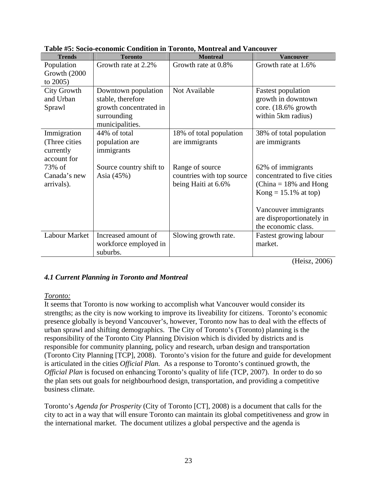| <b>Trends</b>      | <b>Toronto</b>          | <b>Montreal</b>           | <b>Vancouver</b>            |
|--------------------|-------------------------|---------------------------|-----------------------------|
| Population         | Growth rate at 2.2%     | Growth rate at 0.8%       | Growth rate at 1.6%         |
| Growth (2000)      |                         |                           |                             |
| to $2005$ )        |                         |                           |                             |
| <b>City Growth</b> | Downtown population     | Not Available             | <b>Fastest population</b>   |
| and Urban          | stable, therefore       |                           | growth in downtown          |
| Sprawl             | growth concentrated in  |                           | core. $(18.6\%$ growth      |
|                    | surrounding             |                           | within 5km radius)          |
|                    | municipalities.         |                           |                             |
| Immigration        | 44% of total            | 18% of total population   | 38% of total population     |
| (Three cities)     | population are          | are immigrants            | are immigrants              |
| currently          | immigrants              |                           |                             |
| account for        |                         |                           |                             |
| 73% of             | Source country shift to | Range of source           | 62% of immigrants           |
| Canada's new       | Asia (45%)              | countries with top source | concentrated to five cities |
| arrivals).         |                         | being Haiti at 6.6%       | (China = $18\%$ and Hong    |
|                    |                         |                           | $Kong = 15.1\%$ at top)     |
|                    |                         |                           |                             |
|                    |                         |                           | Vancouver immigrants        |
|                    |                         |                           | are disproportionately in   |
|                    |                         |                           | the economic class.         |
| Labour Market      | Increased amount of     | Slowing growth rate.      | Fastest growing labour      |
|                    | workforce employed in   |                           | market.                     |
|                    | suburbs.                |                           |                             |

<span id="page-22-0"></span>**Table #5: Socio-economic Condition in Toronto, Montreal and Vancouver** 

(Heisz, 2006)

## *4.1 Current Planning in Toronto and Montreal*

#### *Toronto:*

It seems that Toronto is now working to accomplish what Vancouver would consider its strengths; as the city is now working to improve its liveability for citizens. Toronto's economic presence globally is beyond Vancouver's, however, Toronto now has to deal with the effects of urban sprawl and shifting demographics. The City of Toronto's (Toronto) planning is the responsibility of the Toronto City Planning Division which is divided by districts and is responsible for community planning, policy and research, urban design and transportation (Toronto City Planning [TCP], 2008). Toronto's vision for the future and guide for development is articulated in the cities *Official Plan.* As a response to Toronto's continued growth, the *Official Plan* is focused on enhancing Toronto's quality of life (TCP, 2007). In order to do so the plan sets out goals for neighbourhood design, transportation, and providing a competitive business climate.

Toronto's *Agenda for Prosperity* (City of Toronto [CT], 2008) is a document that calls for the city to act in a way that will ensure Toronto can maintain its global competitiveness and grow in the international market. The document utilizes a global perspective and the agenda is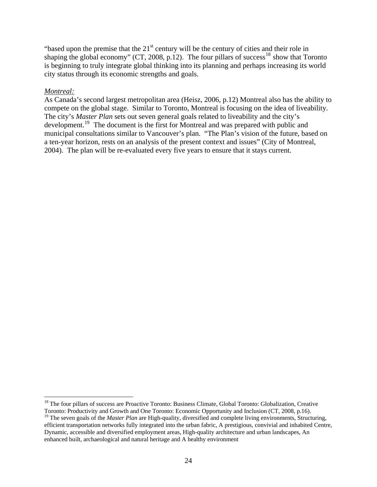<span id="page-23-0"></span>"based upon the premise that the  $21<sup>st</sup>$  century will be the century of cities and their role in shaping the global economy" (CT, 2008, p.12). The four pillars of success<sup>[18](#page-23-0)</sup> show that Toronto is beginning to truly integrate global thinking into its planning and perhaps increasing its world city status through its economic strengths and goals.

#### *Montreal:*

 $\overline{a}$ 

As Canada's second largest metropolitan area (Heisz, 2006, p.12) Montreal also has the ability to compete on the global stage. Similar to Toronto, Montreal is focusing on the idea of liveability. The city's *Master Plan* sets out seven general goals related to liveability and the city's development.<sup>[19](#page-23-0)</sup> The document is the first for Montreal and was prepared with public and municipal consultations similar to Vancouver's plan. "The Plan's vision of the future, based on a ten-year horizon, rests on an analysis of the present context and issues" (City of Montreal, 2004). The plan will be re-evaluated every five years to ensure that it stays current.

<sup>&</sup>lt;sup>18</sup> The four pillars of success are Proactive Toronto: Business Climate, Global Toronto: Globalization, Creative Toronto: Productivity and Growth and One Toronto: Economic Opportunity and Inclusion (CT, 2008, p.16).

<sup>&</sup>lt;sup>19</sup> The seven goals of the *Master Plan* are High-quality, diversified and complete living environments, Structuring, efficient transportation networks fully integrated into the urban fabric, A prestigious, convivial and inhabited Centre, Dynamic, accessible and diversified employment areas, High-quality architecture and urban landscapes, An enhanced built, archaeological and natural heritage and A healthy environment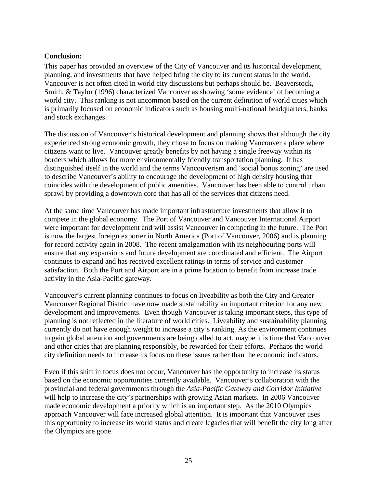#### <span id="page-24-0"></span>**Conclusion:**

This paper has provided an overview of the City of Vancouver and its historical development, planning, and investments that have helped bring the city to its current status in the world. Vancouver is not often cited in world city discussions but perhaps should be. Beaverstock, Smith, & Taylor (1996) characterized Vancouver as showing 'some evidence' of becoming a world city. This ranking is not uncommon based on the current definition of world cities which is primarily focused on economic indicators such as housing multi-national headquarters, banks and stock exchanges.

The discussion of Vancouver's historical development and planning shows that although the city experienced strong economic growth, they chose to focus on making Vancouver a place where citizens want to live. Vancouver greatly benefits by not having a single freeway within its borders which allows for more environmentally friendly transportation planning. It has distinguished itself in the world and the terms Vancouverism and 'social bonus zoning' are used to describe Vancouver's ability to encourage the development of high density housing that coincides with the development of public amenities. Vancouver has been able to control urban sprawl by providing a downtown core that has all of the services that citizens need.

At the same time Vancouver has made important infrastructure investments that allow it to compete in the global economy. The Port of Vancouver and Vancouver International Airport were important for development and will assist Vancouver in competing in the future. The Port is now the largest foreign exporter in North America (Port of Vancouver, 2006) and is planning for record activity again in 2008. The recent amalgamation with its neighbouring ports will ensure that any expansions and future development are coordinated and efficient. The Airport continues to expand and has received excellent ratings in terms of service and customer satisfaction. Both the Port and Airport are in a prime location to benefit from increase trade activity in the Asia-Pacific gateway.

Vancouver's current planning continues to focus on liveability as both the City and Greater Vancouver Regional District have now made sustainability an important criterion for any new development and improvements. Even though Vancouver is taking important steps, this type of planning is not reflected in the literature of world cities. Liveability and sustainability planning currently do not have enough weight to increase a city's ranking. As the environment continues to gain global attention and governments are being called to act, maybe it is time that Vancouver and other cities that are planning responsibly, be rewarded for their efforts. Perhaps the world city definition needs to increase its focus on these issues rather than the economic indicators.

Even if this shift in focus does not occur, Vancouver has the opportunity to increase its status based on the economic opportunities currently available. Vancouver's collaboration with the provincial and federal governments through the *Asia-Pacific Gateway and Corridor Initiative* will help to increase the city's partnerships with growing Asian markets. In 2006 Vancouver made economic development a priority which is an important step. As the 2010 Olympics approach Vancouver will face increased global attention. It is important that Vancouver uses this opportunity to increase its world status and create legacies that will benefit the city long after the Olympics are gone.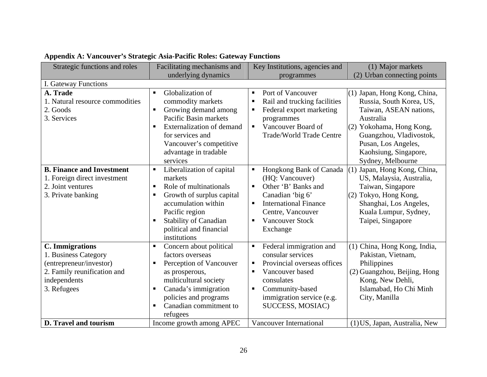<span id="page-25-0"></span>

| Strategic functions and roles                                                                                                           | Facilitating mechanisms and<br>underlying dynamics                                                                                                                                                                                                                   | Key Institutions, agencies and<br>programmes                                                                                                                                                                                                             | (1) Major markets<br>(2) Urban connecting points                                                                                                                                                                            |
|-----------------------------------------------------------------------------------------------------------------------------------------|----------------------------------------------------------------------------------------------------------------------------------------------------------------------------------------------------------------------------------------------------------------------|----------------------------------------------------------------------------------------------------------------------------------------------------------------------------------------------------------------------------------------------------------|-----------------------------------------------------------------------------------------------------------------------------------------------------------------------------------------------------------------------------|
| I. Gateway Functions                                                                                                                    |                                                                                                                                                                                                                                                                      |                                                                                                                                                                                                                                                          |                                                                                                                                                                                                                             |
| A. Trade<br>1. Natural resource commodities<br>2. Goods<br>3. Services                                                                  | Globalization of<br>$\blacksquare$<br>commodity markets<br>Growing demand among<br>$\blacksquare$<br>Pacific Basin markets<br><b>Externalization of demand</b><br>$\blacksquare$<br>for services and<br>Vancouver's competitive<br>advantage in tradable<br>services | Port of Vancouver<br>٠<br>Rail and trucking facilities<br>٠<br>Federal export marketing<br>٠<br>programmes<br>Vancouver Board of<br>$\mathbf{u}$ .<br><b>Trade/World Trade Centre</b>                                                                    | (1) Japan, Hong Kong, China,<br>Russia, South Korea, US,<br>Taiwan, ASEAN nations,<br>Australia<br>(2) Yokohama, Hong Kong,<br>Guangzhou, Vladivostok,<br>Pusan, Los Angeles,<br>Kaohsiung, Singapore,<br>Sydney, Melbourne |
| <b>B. Finance and Investment</b><br>1. Foreign direct investment<br>2. Joint ventures<br>3. Private banking                             | Liberalization of capital<br>$\blacksquare$<br>markets<br>Role of multinationals<br>п<br>Growth of surplus capital<br>п<br>accumulation within<br>Pacific region<br><b>Stability of Canadian</b><br>political and financial<br>institutions                          | Hongkong Bank of Canada<br>$\blacksquare$<br>(HQ: Vancouver)<br>Other 'B' Banks and<br>$\blacksquare$<br>Canadian 'big 6'<br><b>International Finance</b><br>$\blacksquare$<br>Centre, Vancouver<br><b>Vancouver Stock</b><br>$\blacksquare$<br>Exchange | $(1)$ Japan, Hong Kong, China,<br>US, Malaysia, Australia,<br>Taiwan, Singapore<br>(2) Tokyo, Hong Kong,<br>Shanghai, Los Angeles,<br>Kuala Lumpur, Sydney,<br>Taipei, Singapore                                            |
| <b>C.</b> Immigrations<br>1. Business Category<br>(entrepreneur/investor)<br>2. Family reunification and<br>independents<br>3. Refugees | Concern about political<br>factors overseas<br>Perception of Vancouver<br>٠<br>as prosperous,<br>multicultural society<br>Canada's immigration<br>п<br>policies and programs<br>Canadian commitment to<br>$\blacksquare$<br>refugees                                 | Federal immigration and<br>consular services<br>Provincial overseas offices<br>٠<br>Vancouver based<br>consulates<br>Community-based<br>٠<br>immigration service (e.g.<br>SUCCESS, MOSIAC)                                                               | (1) China, Hong Kong, India,<br>Pakistan, Vietnam,<br>Philippines<br>(2) Guangzhou, Beijing, Hong<br>Kong, New Dehli,<br>Islamabad, Ho Chi Minh<br>City, Manilla                                                            |
| D. Travel and tourism                                                                                                                   | Income growth among APEC                                                                                                                                                                                                                                             | Vancouver International                                                                                                                                                                                                                                  | (1) US, Japan, Australia, New                                                                                                                                                                                               |

# **Appendix A: Vancouver's Strategic Asia-Pacific Roles: Gateway Functions**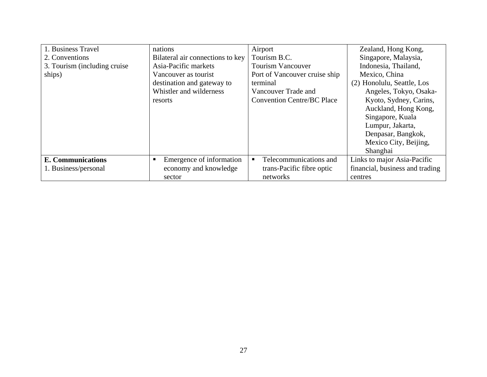| 1. Business Travel            | nations                          | Airport                           | Zealand, Hong Kong,             |
|-------------------------------|----------------------------------|-----------------------------------|---------------------------------|
| 2. Conventions                | Bilateral air connections to key | Tourism B.C.                      | Singapore, Malaysia,            |
| 3. Tourism (including cruise) | Asia-Pacific markets             | <b>Tourism Vancouver</b>          | Indonesia, Thailand,            |
| ships)                        | Vancouver as tourist             | Port of Vancouver cruise ship     | Mexico, China                   |
|                               | destination and gateway to       | terminal                          | (2) Honolulu, Seattle, Los      |
|                               | Whistler and wilderness          | Vancouver Trade and               | Angeles, Tokyo, Osaka-          |
|                               | resorts                          | <b>Convention Centre/BC Place</b> | Kyoto, Sydney, Carins,          |
|                               |                                  |                                   | Auckland, Hong Kong,            |
|                               |                                  |                                   | Singapore, Kuala                |
|                               |                                  |                                   | Lumpur, Jakarta,                |
|                               |                                  |                                   | Denpasar, Bangkok,              |
|                               |                                  |                                   | Mexico City, Beijing,           |
|                               |                                  |                                   | Shanghai                        |
| <b>E. Communications</b>      | Emergence of information         | Telecommunications and            | Links to major Asia-Pacific     |
| 1. Business/personal          | economy and knowledge            | trans-Pacific fibre optic         | financial, business and trading |
|                               | sector                           | networks                          | centres                         |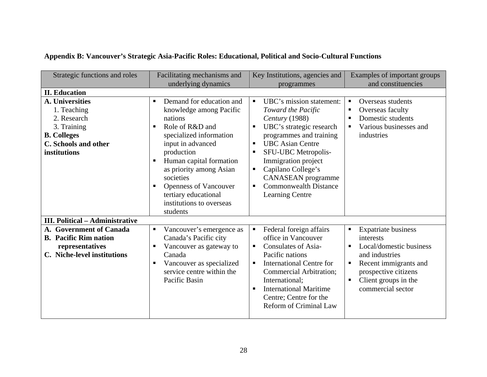<span id="page-27-0"></span>

| Strategic functions and roles                                                                                                     | Facilitating mechanisms and<br>underlying dynamics                                                                                                                                                                                                                                                                                                                | Key Institutions, agencies and<br>programmes                                                                                                                                                                                                                                                                                                        | Examples of important groups<br>and constituencies                                                                                                                                                |
|-----------------------------------------------------------------------------------------------------------------------------------|-------------------------------------------------------------------------------------------------------------------------------------------------------------------------------------------------------------------------------------------------------------------------------------------------------------------------------------------------------------------|-----------------------------------------------------------------------------------------------------------------------------------------------------------------------------------------------------------------------------------------------------------------------------------------------------------------------------------------------------|---------------------------------------------------------------------------------------------------------------------------------------------------------------------------------------------------|
| <b>II. Education</b>                                                                                                              |                                                                                                                                                                                                                                                                                                                                                                   |                                                                                                                                                                                                                                                                                                                                                     |                                                                                                                                                                                                   |
| A. Universities<br>1. Teaching<br>2. Research<br>3. Training<br><b>B.</b> Colleges<br><b>C.</b> Schools and other<br>institutions | Demand for education and<br>$\blacksquare$<br>knowledge among Pacific<br>nations<br>Role of R&D and<br>$\blacksquare$<br>specialized information<br>input in advanced<br>production<br>Human capital formation<br>п.<br>as priority among Asian<br>societies<br><b>Openness of Vancouver</b><br>٠<br>tertiary educational<br>institutions to overseas<br>students | UBC's mission statement:<br>٠<br>Toward the Pacific<br>Century (1988)<br>UBC's strategic research<br>٠<br>programmes and training<br><b>UBC</b> Asian Centre<br>$\blacksquare$<br>SFU-UBC Metropolis-<br>٠<br>Immigration project<br>Capilano College's<br><b>CANASEAN</b> programme<br><b>Commonwealth Distance</b><br>٠<br><b>Learning Centre</b> | Overseas students<br>٠<br>Overseas faculty<br>Domestic students<br>Various businesses and<br>industries                                                                                           |
| <b>III. Political – Administrative</b>                                                                                            |                                                                                                                                                                                                                                                                                                                                                                   |                                                                                                                                                                                                                                                                                                                                                     |                                                                                                                                                                                                   |
| A. Government of Canada<br><b>B.</b> Pacific Rim nation<br>representatives<br>C. Niche-level institutions                         | Vancouver's emergence as<br>$\blacksquare$<br>Canada's Pacific city<br>Vancouver as gateway to<br>٠<br>Canada<br>Vancouver as specialized<br>٠<br>service centre within the<br>Pacific Basin                                                                                                                                                                      | Federal foreign affairs<br>$\blacksquare$<br>office in Vancouver<br><b>Consulates of Asia-</b><br>٠<br>Pacific nations<br><b>International Centre for</b><br>$\blacksquare$<br>Commercial Arbitration;<br>International:<br><b>International Maritime</b><br>٠<br>Centre; Centre for the<br><b>Reform of Criminal Law</b>                           | <b>Expatriate business</b><br>Ξ<br>interests<br>Local/domestic business<br>and industries<br>Recent immigrants and<br>Ξ<br>prospective citizens<br>Client groups in the<br>Ξ<br>commercial sector |

## **Appendix B: Vancouver's Strategic Asia-Pacific Roles: Educational, Political and Socio-Cultural Functions**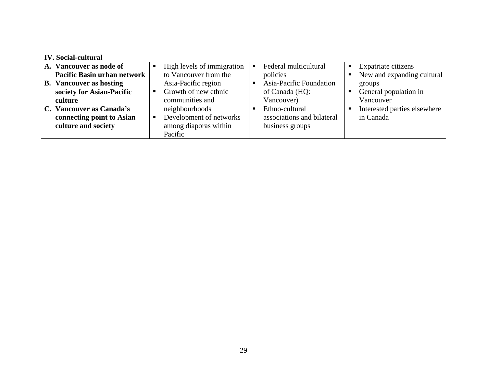| <b>IV.</b> Social-cultural         |                            |                                         |                              |
|------------------------------------|----------------------------|-----------------------------------------|------------------------------|
| A. Vancouver as node of            | High levels of immigration | Federal multicultural<br>$\blacksquare$ | Expatriate citizens          |
| <b>Pacific Basin urban network</b> | to Vancouver from the      | policies                                | New and expanding cultural   |
| <b>B.</b> Vancouver as hosting     | Asia-Pacific region        | Asia-Pacific Foundation<br>п            | groups                       |
| society for Asian-Pacific          | Growth of new ethnic<br>п. | of Canada (HQ:                          | General population in        |
| culture                            | communities and            | Vancouver)                              | Vancouver                    |
| C. Vancouver as Canada's           | neighbourhoods             | Ethno-cultural<br>п                     | Interested parties elsewhere |
| connecting point to Asian          | Development of networks    | associations and bilateral              | in Canada                    |
| culture and society                | among diaporas within      | business groups                         |                              |
|                                    | Pacific                    |                                         |                              |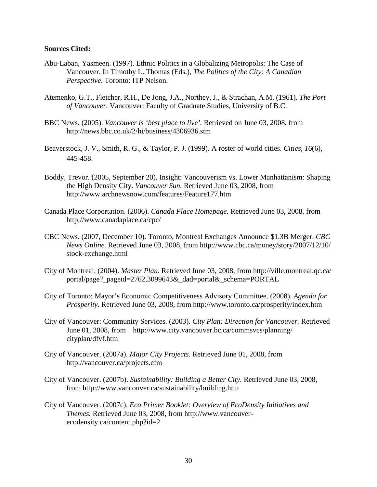#### **Sources Cited:**

- Abu-Laban, Yasmeen. (1997). Ethnic Politics in a Globalizing Metropolis: The Case of Vancouver. In Timothy L. Thomas (Eds.), *The Politics of the City: A Canadian Perspective*. Toronto: ITP Nelson.
- Atemenko, G.T., Fletcher, R.H., De Jong, J.A., Northey, J., & Strachan, A.M. (1961). *The Port of Vancouver.* Vancouver: Faculty of Graduate Studies, University of B.C.
- BBC News. (2005). *Vancouver is 'best place to live'.* Retrieved on June 03, 2008, from http://news.bbc.co.uk/2/hi/business/4306936.stm
- Beaverstock, J. V., Smith, R. G., & Taylor, P. J. (1999). A roster of world cities. *Cities, 16*(6), 445-458.
- Boddy, Trevor. (2005, September 20). Insight: Vancouverism vs. Lower Manhattanism: Shaping the High Density City*. Vancouver Sun.* Retrieved June 03, 2008, from http://www.archnewsnow.com/features/Feature177.htm
- Canada Place Corportation. (2006). *Canada Place Homepage.* Retrieved June 03, 2008, from http://www.canadaplace.ca/cpc/
- CBC News. (2007, December 10). Toronto, Montreal Exchanges Announce \$1.3B Merger. *CBC News Online.* Retrieved June 03, 2008, from http://www.cbc.ca/money/story/2007/12/10/ stock-exchange.html
- City of Montreal. (2004). *Master Plan.* Retrieved June 03, 2008, from http://ville.montreal.qc.ca/ portal/page?\_pageid=2762,3099643&\_dad=portal&\_schema=PORTAL
- City of Toronto: Mayor's Economic Competitiveness Advisory Committee. (2008). *Agenda for Prosperity.* Retrieved June 03, 2008, from http://www.toronto.ca/prosperity/index.htm
- City of Vancouver: Community Services. (2003). *City Plan: Direction for Vancouver.* Retrieved June 01, 2008, from http://www.city.vancouver.bc.ca/commsvcs/planning/ cityplan/dfvf.htm
- City of Vancouver. (2007a). *Major City Projects.* Retrieved June 01, 2008, from http://vancouver.ca/projects.cfm
- City of Vancouver. (2007b). *Sustainability: Building a Better City.* Retrieved June 03, 2008, from http://www.vancouver.ca/sustainability/building.htm
- City of Vancouver. (2007c). *Eco Primer Booklet: Overview of EcoDensity Initiatives and Themes.* Retrieved June 03, 2008, from http://www.vancouver ecodensity.ca/content.php?id=2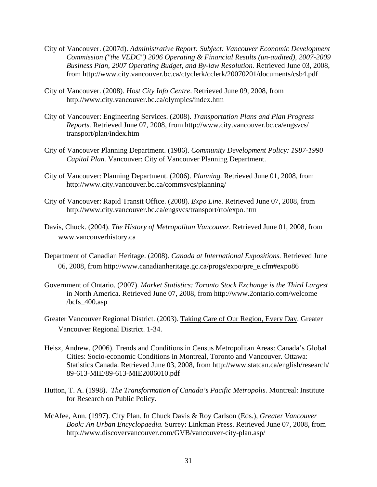- City of Vancouver. (2007d). *Administrative Report: Subject: Vancouver Economic Development Commission ("the VEDC") 2006 Operating & Financial Results (un-audited), 2007-2009 Business Plan, 2007 Operating Budget, and By-law Resolution.* Retrieved June 03, 2008, from http://www.city.vancouver.bc.ca/ctyclerk/cclerk/20070201/documents/csb4.pdf
- City of Vancouver. (2008). *Host City Info Centre*. Retrieved June 09, 2008, from http://www.city.vancouver.bc.ca/olympics/index.htm
- City of Vancouver: Engineering Services. (2008). *Transportation Plans and Plan Progress Reports.* Retrieved June 07, 2008, from http://www.city.vancouver.bc.ca/engsvcs/ transport/plan/index.htm
- City of Vancouver Planning Department. (1986). *Community Development Policy: 1987-1990 Capital Plan.* Vancouver: City of Vancouver Planning Department.
- City of Vancouver: Planning Department. (2006). *Planning.* Retrieved June 01, 2008, from http://www.city.vancouver.bc.ca/commsvcs/planning/
- City of Vancouver: Rapid Transit Office. (2008). *Expo Line.* Retrieved June 07, 2008, from http://www.city.vancouver.bc.ca/engsvcs/transport/rto/expo.htm
- Davis, Chuck. (2004). *The History of Metropolitan Vancouver*. Retrieved June 01, 2008, from www.vancouverhistory.ca
- Department of Canadian Heritage. (2008). *Canada at International Expositions.* Retrieved June 06, 2008, from http://www.canadianheritage.gc.ca/progs/expo/pre\_e.cfm#expo86
- Government of Ontario. (2007). *Market Statistics: Toronto Stock Exchange is the Third Largest*  in North America. Retrieved June 07, 2008, from http://www.2ontario.com/welcome  $/bcfs$  400.asp
- Greater Vancouver Regional District. (2003). Taking Care of Our Region, Every Day. Greater Vancouver Regional District. 1-34.
- Heisz, Andrew. (2006). Trends and Conditions in Census Metropolitan Areas: Canada's Global Cities: Socio-economic Conditions in Montreal, Toronto and Vancouver. Ottawa: Statistics Canada. Retrieved June 03, 2008, from http://www.statcan.ca/english/research/ 89-613-MIE/89-613-MIE2006010.pdf
- Hutton, T. A. (1998). *The Transformation of Canada's Pacific Metropolis*. Montreal: Institute for Research on Public Policy.
- McAfee, Ann. (1997). City Plan. In Chuck Davis & Roy Carlson (Eds.), *Greater Vancouver Book: An Urban Encyclopaedia.* Surrey: Linkman Press. Retrieved June 07, 2008, from http://www.discovervancouver.com/GVB/vancouver-city-plan.asp/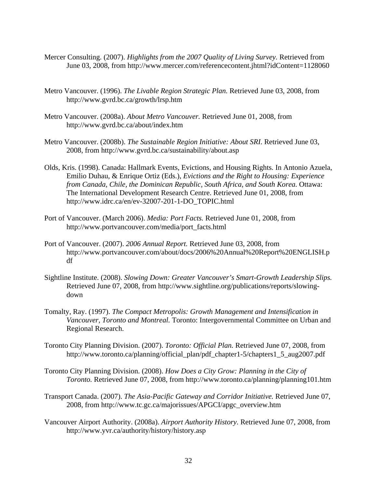- Mercer Consulting. (2007). *Highlights from the 2007 Quality of Living Survey.* Retrieved from June 03, 2008, from http://www.mercer.com/referencecontent.jhtml?idContent=1128060
- Metro Vancouver. (1996). *The Livable Region Strategic Plan.* Retrieved June 03, 2008, from http://www.gvrd.bc.ca/growth/lrsp.htm
- Metro Vancouver. (2008a). *About Metro Vancouver.* Retrieved June 01, 2008, from http://www.gvrd.bc.ca/about/index.htm
- Metro Vancouver. (2008b). *The Sustainable Region Initiative: About SRI*. Retrieved June 03, 2008, from http://www.gvrd.bc.ca/sustainability/about.asp
- Olds, Kris. (1998). Canada: Hallmark Events, Evictions, and Housing Rights. In Antonio Azuela, Emilio Duhau, & Enrique Ortiz (Eds.), *Evictions and the Right to Housing: Experience from Canada, Chile, the Dominican Republic, South Africa, and South Korea.* Ottawa: The International Development Research Centre. Retrieved June 01, 2008, from http://www.idrc.ca/en/ev-32007-201-1-DO\_TOPIC.html
- Port of Vancouver. (March 2006). *Media: Port Facts.* Retrieved June 01, 2008, from http://www.portvancouver.com/media/port\_facts.html
- Port of Vancouver. (2007). *2006 Annual Report.* Retrieved June 03, 2008, from http://www.portvancouver.com/about/docs/2006%20Annual%20Report%20ENGLISH.p df
- Sightline Institute. (2008). *Slowing Down: Greater Vancouver's Smart-Growth Leadership Slips.* Retrieved June 07, 2008, from http://www.sightline.org/publications/reports/slowing down
- Tomalty, Ray. (1997). *The Compact Metropolis: Growth Management and Intensification in Vancouver, Toronto and Montreal.* Toronto: Intergovernmental Committee on Urban and Regional Research.
- Toronto City Planning Division. (2007). *Toronto: Official Plan.* Retrieved June 07, 2008, from http://www.toronto.ca/planning/official\_plan/pdf\_chapter1-5/chapters1\_5\_aug2007.pdf
- Toronto City Planning Division. (2008). *How Does a City Grow: Planning in the City of Toronto.* Retrieved June 07, 2008, from http://www.toronto.ca/planning/planning101.htm
- Transport Canada. (2007). *The Asia-Pacific Gateway and Corridor Initiative.* Retrieved June 07, 2008, from http://www.tc.gc.ca/majorissues/APGCI/apgc\_overview.htm
- Vancouver Airport Authority. (2008a). *Airport Authority History.* Retrieved June 07, 2008, from http://www.yvr.ca/authority/history/history.asp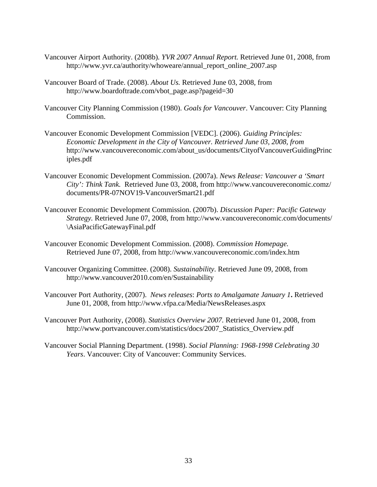- Vancouver Airport Authority. (2008b)*. YVR 2007 Annual Report.* Retrieved June 01, 2008, from http://www.yvr.ca/authority/whoweare/annual\_report\_online\_2007.asp
- Vancouver Board of Trade. (2008). *About Us.* Retrieved June 03, 2008, from http://www.boardoftrade.com/vbot\_page.asp?pageid=30
- Vancouver City Planning Commission (1980). *Goals for Vancouver*. Vancouver: City Planning Commission.
- Vancouver Economic Development Commission [VEDC]. (2006). *Guiding Principles: Economic Development in the City of Vancouver. Retrieved June 03, 2008, from*  http://www.vancouvereconomic.com/about\_us/documents/CityofVancouverGuidingPrinc iples.pdf
- Vancouver Economic Development Commission. (2007a). *News Release: Vancouver a 'Smart City': Think Tank.* Retrieved June 03, 2008, from http://www.vancouvereconomic.comz/ documents/PR-07NOV19-VancouverSmart21.pdf
- Vancouver Economic Development Commission. (2007b). *Discussion Paper: Pacific Gateway Strategy.* Retrieved June 07, 2008, from http://www.vancouvereconomic.com/documents/ \AsiaPacificGatewayFinal.pdf
- Vancouver Economic Development Commission. (2008). *Commission Homepage.* Retrieved June 07, 2008, from http://www.vancouvereconomic.com/index.htm
- Vancouver Organizing Committee. (2008). *Sustainability*. Retrieved June 09, 2008, from http://www.vancouver2010.com/en/Sustainability
- Vancouver Port Authority, (2007). *News releases*: *Ports to Amalgamate January 1***.** Retrieved June 01, 2008, from http://www.vfpa.ca/Media/NewsReleases.aspx
- Vancouver Port Authority, (2008). *Statistics Overview 2007.* Retrieved June 01, 2008, from http://www.portvancouver.com/statistics/docs/2007 Statistics Overview.pdf
- Vancouver Social Planning Department. (1998). *Social Planning: 1968-1998 Celebrating 30 Years*. Vancouver: City of Vancouver: Community Services.